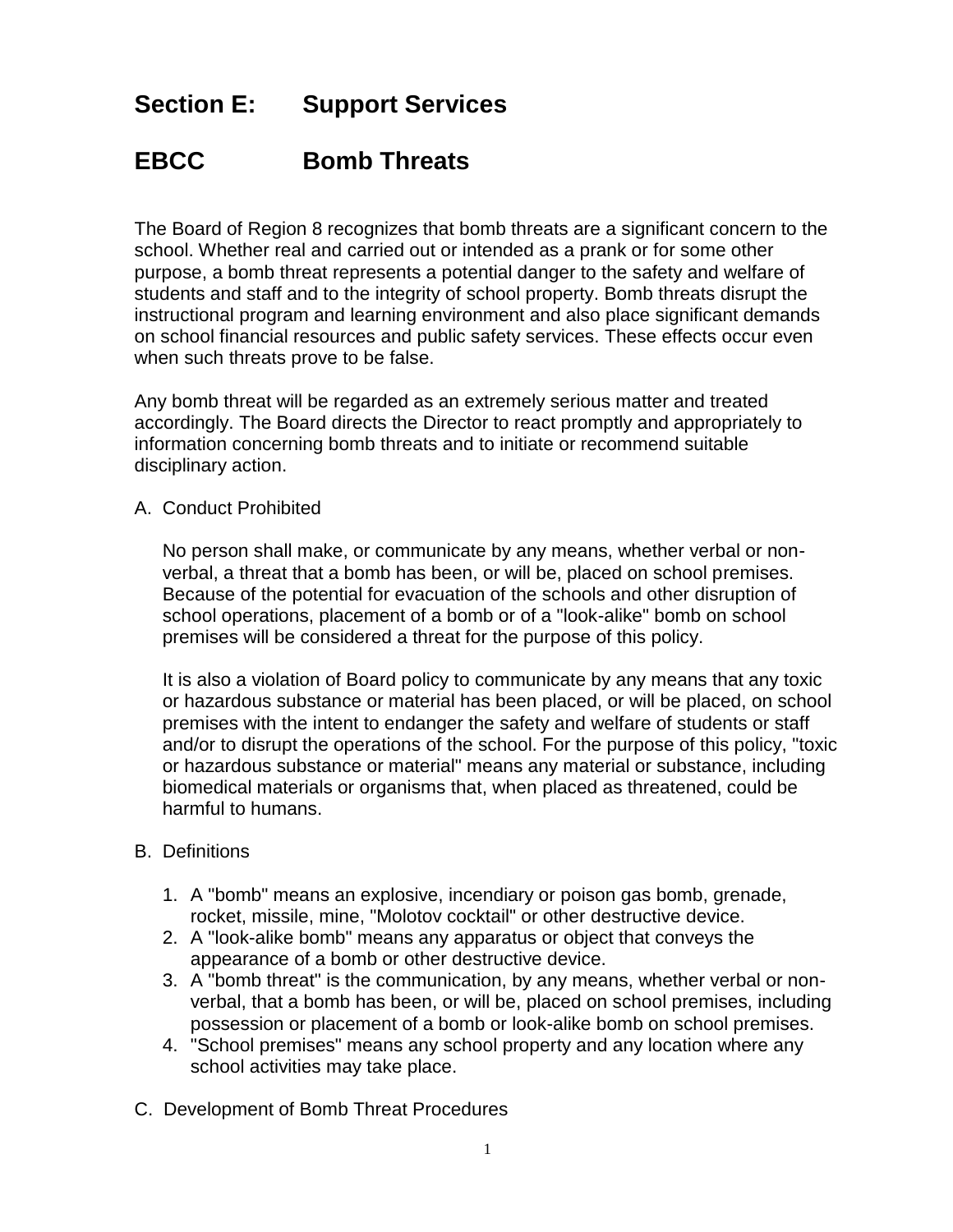## **Section E: Support Services**

## **EBCC Bomb Threats**

The Board of Region 8 recognizes that bomb threats are a significant concern to the school. Whether real and carried out or intended as a prank or for some other purpose, a bomb threat represents a potential danger to the safety and welfare of students and staff and to the integrity of school property. Bomb threats disrupt the instructional program and learning environment and also place significant demands on school financial resources and public safety services. These effects occur even when such threats prove to be false.

Any bomb threat will be regarded as an extremely serious matter and treated accordingly. The Board directs the Director to react promptly and appropriately to information concerning bomb threats and to initiate or recommend suitable disciplinary action.

A. Conduct Prohibited

No person shall make, or communicate by any means, whether verbal or nonverbal, a threat that a bomb has been, or will be, placed on school premises. Because of the potential for evacuation of the schools and other disruption of school operations, placement of a bomb or of a "look-alike" bomb on school premises will be considered a threat for the purpose of this policy.

It is also a violation of Board policy to communicate by any means that any toxic or hazardous substance or material has been placed, or will be placed, on school premises with the intent to endanger the safety and welfare of students or staff and/or to disrupt the operations of the school. For the purpose of this policy, "toxic or hazardous substance or material" means any material or substance, including biomedical materials or organisms that, when placed as threatened, could be harmful to humans.

## B. Definitions

- 1. A "bomb" means an explosive, incendiary or poison gas bomb, grenade, rocket, missile, mine, "Molotov cocktail" or other destructive device.
- 2. A "look-alike bomb" means any apparatus or object that conveys the appearance of a bomb or other destructive device.
- 3. A "bomb threat" is the communication, by any means, whether verbal or nonverbal, that a bomb has been, or will be, placed on school premises, including possession or placement of a bomb or look-alike bomb on school premises.
- 4. "School premises" means any school property and any location where any school activities may take place.
- C. Development of Bomb Threat Procedures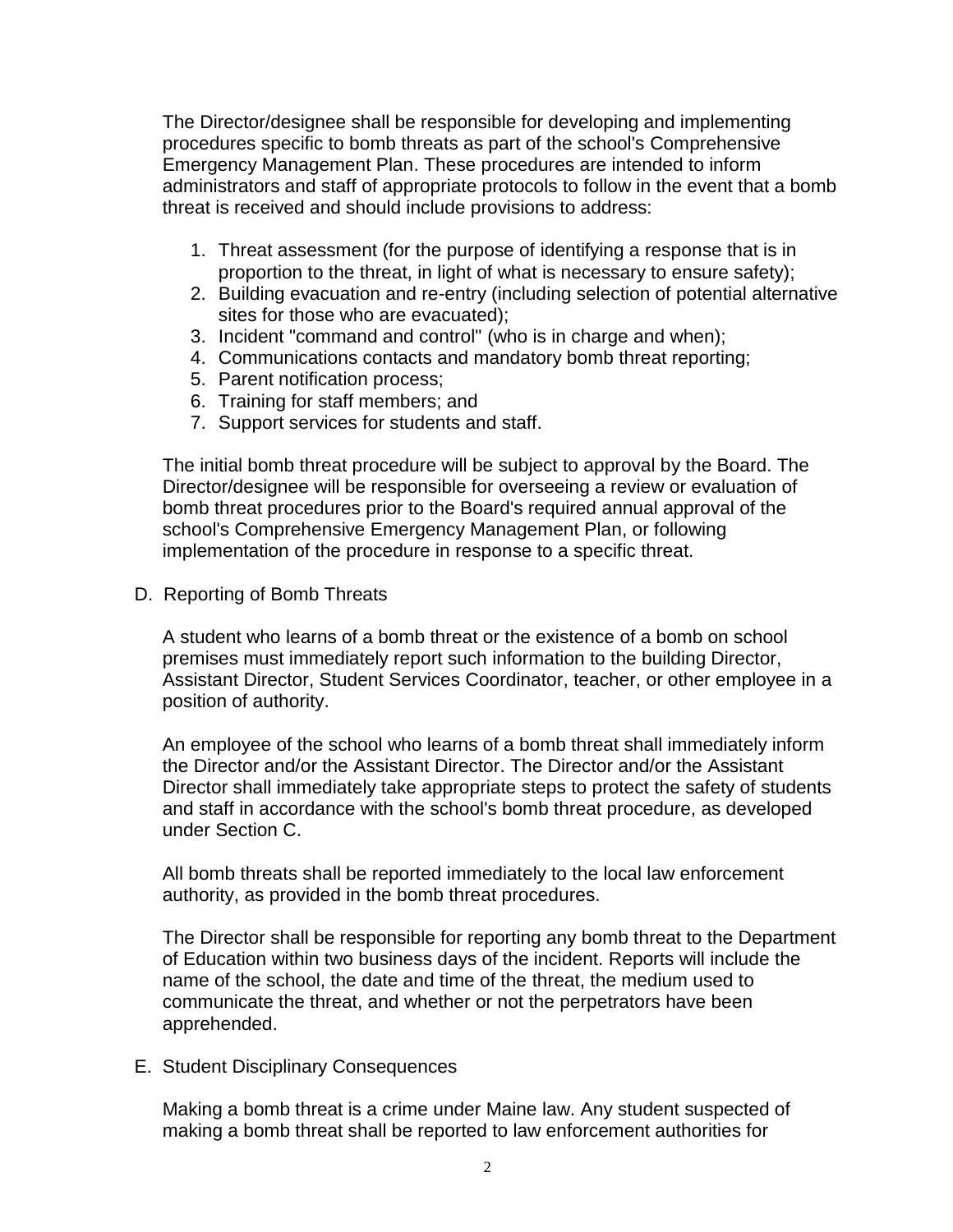The Director/designee shall be responsible for developing and implementing procedures specific to bomb threats as part of the school's Comprehensive Emergency Management Plan. These procedures are intended to inform administrators and staff of appropriate protocols to follow in the event that a bomb threat is received and should include provisions to address:

- 1. Threat assessment (for the purpose of identifying a response that is in proportion to the threat, in light of what is necessary to ensure safety);
- 2. Building evacuation and re-entry (including selection of potential alternative sites for those who are evacuated);
- 3. Incident "command and control" (who is in charge and when);
- 4. Communications contacts and mandatory bomb threat reporting;
- 5. Parent notification process;
- 6. Training for staff members; and
- 7. Support services for students and staff.

The initial bomb threat procedure will be subject to approval by the Board. The Director/designee will be responsible for overseeing a review or evaluation of bomb threat procedures prior to the Board's required annual approval of the school's Comprehensive Emergency Management Plan, or following implementation of the procedure in response to a specific threat.

D. Reporting of Bomb Threats

A student who learns of a bomb threat or the existence of a bomb on school premises must immediately report such information to the building Director, Assistant Director, Student Services Coordinator, teacher, or other employee in a position of authority.

An employee of the school who learns of a bomb threat shall immediately inform the Director and/or the Assistant Director. The Director and/or the Assistant Director shall immediately take appropriate steps to protect the safety of students and staff in accordance with the school's bomb threat procedure, as developed under Section C.

All bomb threats shall be reported immediately to the local law enforcement authority, as provided in the bomb threat procedures.

The Director shall be responsible for reporting any bomb threat to the Department of Education within two business days of the incident. Reports will include the name of the school, the date and time of the threat, the medium used to communicate the threat, and whether or not the perpetrators have been apprehended.

E. Student Disciplinary Consequences

Making a bomb threat is a crime under Maine law. Any student suspected of making a bomb threat shall be reported to law enforcement authorities for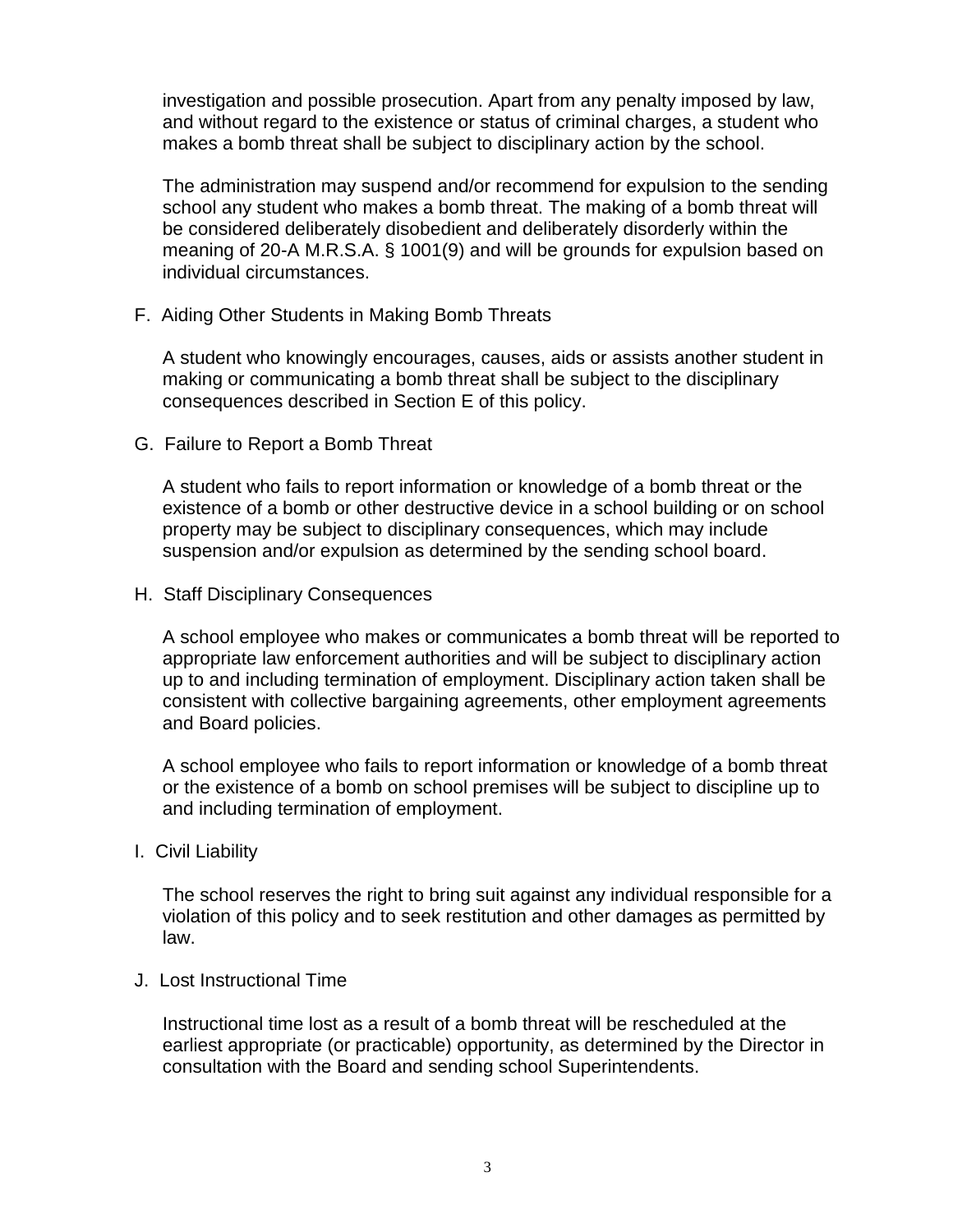investigation and possible prosecution. Apart from any penalty imposed by law, and without regard to the existence or status of criminal charges, a student who makes a bomb threat shall be subject to disciplinary action by the school.

The administration may suspend and/or recommend for expulsion to the sending school any student who makes a bomb threat. The making of a bomb threat will be considered deliberately disobedient and deliberately disorderly within the meaning of 20-A M.R.S.A. § 1001(9) and will be grounds for expulsion based on individual circumstances.

F. Aiding Other Students in Making Bomb Threats

A student who knowingly encourages, causes, aids or assists another student in making or communicating a bomb threat shall be subject to the disciplinary consequences described in Section E of this policy.

G. Failure to Report a Bomb Threat

A student who fails to report information or knowledge of a bomb threat or the existence of a bomb or other destructive device in a school building or on school property may be subject to disciplinary consequences, which may include suspension and/or expulsion as determined by the sending school board.

H. Staff Disciplinary Consequences

A school employee who makes or communicates a bomb threat will be reported to appropriate law enforcement authorities and will be subject to disciplinary action up to and including termination of employment. Disciplinary action taken shall be consistent with collective bargaining agreements, other employment agreements and Board policies.

A school employee who fails to report information or knowledge of a bomb threat or the existence of a bomb on school premises will be subject to discipline up to and including termination of employment.

I. Civil Liability

The school reserves the right to bring suit against any individual responsible for a violation of this policy and to seek restitution and other damages as permitted by law.

J. Lost Instructional Time

Instructional time lost as a result of a bomb threat will be rescheduled at the earliest appropriate (or practicable) opportunity, as determined by the Director in consultation with the Board and sending school Superintendents.